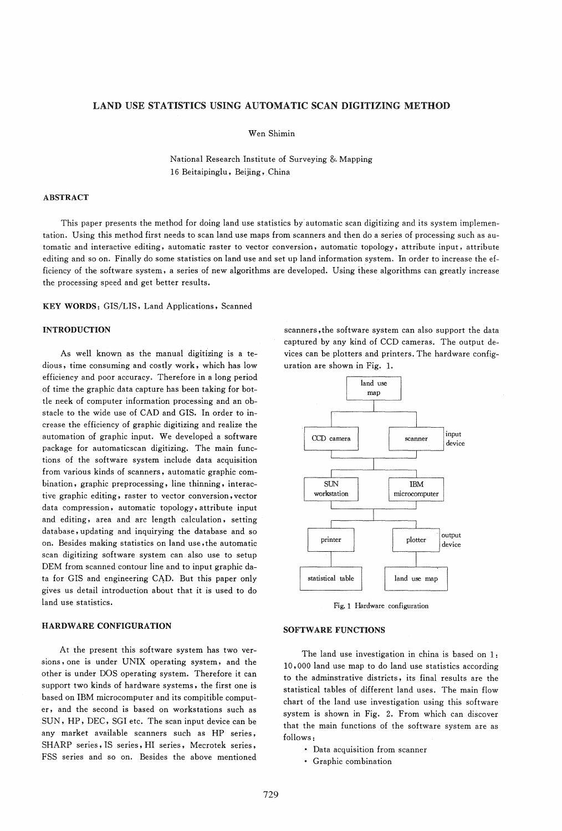# LAND USE STATISTICS USING AUTOMATIC SCAN DIGITIZING METHOD

Wen Shimin

National Research Institute of Surveying &. Mapping 16 Beitaipinglu, Beijing, China

# ABSTRACT

This paper presents the method for doing land use statistics by automatic scan digitizing and its system implementation. Using this method first needs to scan land use maps from scanners and then do a series of processing such as automatic and interactive editing, automatic raster to vector conversion, automatic topology, attribute input, attribute editing and so on. Finally do some statistics on land use and set up land information system. In order to increase the efficiency of the software system, a series of new algorithms are developed. Using these algorithms can greatly increase the processing speed and get better results.

KEY WORDS: GIS/LIS, Land Applications, Scanned

# INTRODUCTION

As well known as the manual digitizing is a tedious, time consuming and costly work, which has low efficiency and poor accuracy. Therefore in a long period of time the graphic data capture has been taking for bottle neek of computer information processing and an obstacle to the wide use of CAD and GIS. In order to increase the efficiency of graphic digitizing and realize the automation of graphic input. We developed a software package for automaticscan digitizing. The main functions of the software system include data acquisition from various kinds of scanners, automatic graphic combination, graphic preprocessing, line thinning, interactive graphic editing, raster to vector conversion, vector data compression, automatic topology, attribute input and editing, area and arc length calculation, setting database, updating and inquirying the database and so on. Besides making statistics on land use ,the automatic scan digitizing software system can also use to setup DEM from scanned contour line and to input graphic data for GIS and engineering CAD. But this paper only gives us detail introduction about that it is used to do land use statistics.

# HARDWARE CONFIGURATION

At the present this software system has two versions, one is under UNIX operating system, and the other is under DOS operating system. Therefore it can support two kinds of hardware systems, the first one is based on IBM microcomputer and its compitible computer, and the second is based on workstations such as SUN, HP, DEC, SGI etc. The scan input device can be any market available scanners such as HP series, SHARP series, IS series, HI series, Mecrotek series, FSS series and so on. Besides the above mentioned

scanners, the software system can also support the data captured by any kind of CCD cameras. The output devices can be plotters and printers. The hardware configuration are shown in Fig. 1.



Fig. 1 Hardware configuration

### SOFTWARE FUNCTIONS

The land use investigation in china is based on 1: 10,000 land use map to do land use statistics according to the adminstrative districts, its final results are the statistical tables of different land uses. The main flow chart of the land use investigation using this software system is shown in Fig. 2. From which can discover that the main functions of the software system are as follows:

- Data acquisition from scanner
- Graphic combination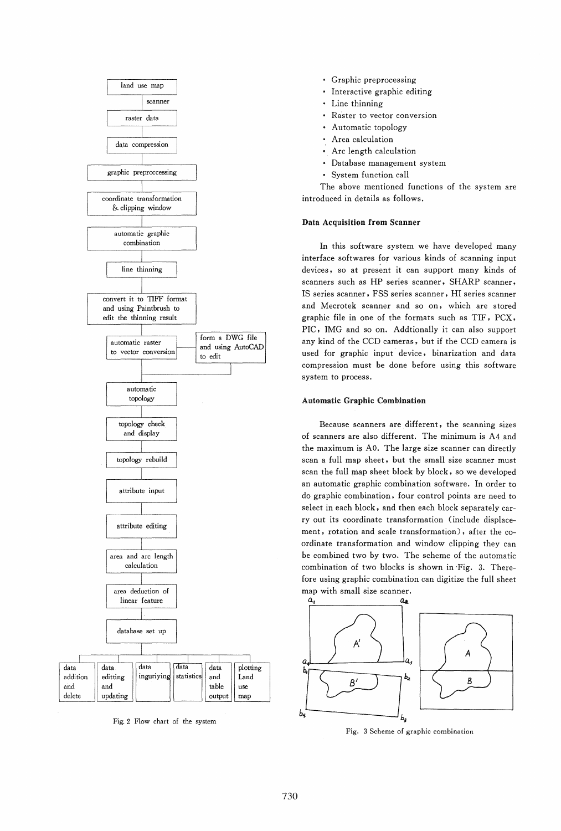

Fig, 2 Flow chart of the system

- Graphic preprocessing
- Interactive graphic editing
- Line thinning
- Raster to vector conversion
- Automatic topology
- Area calculation
- Arc length calculation
- Database management system
- System function call

The above mentioned functions of the system are introduced in details as follows.

### Data Acquisition from Scanner

In this software system we have developed many interface softwares for various kinds of scanning input devices, so at present it can support many kinds of scanners such as HP series scanner, SHARP scanner, IS series scanner, FSS series scanner, HI series scanner and Mecrotek scanner and so on, which are stored graphic file in one of the formats such as TIF, PCX, PIC, IMG and so on. Addtionally it can also support any kind of the CCD cameras, but if the CCD camera is used for graphic input device, binarization and data compression must be done before using this software system to process.

## Automatic Graphic Combination

Because scanners are different, the scanning sizes of scanners are also different. The minimum is A4 and the maximum is AO. The large size scanner can directly scan a full map sheet, but the small size scanner must scan the full map sheet block by block, so we developed an automatic graphic combination software. In order to do graphic combination, four control points are need to select in each block, and then each block separately carry out its coordinate transformation (include displacement, rotation and scale transformation), after the coordinate transformation and window clipping they can be combined two by two. The scheme of the automatic combination of two blocks is shown in -Fig. 3. Therefore using graphic combination can digitize the full sheet map with small size scanner.



Fig. 3 Scheme of graphic combination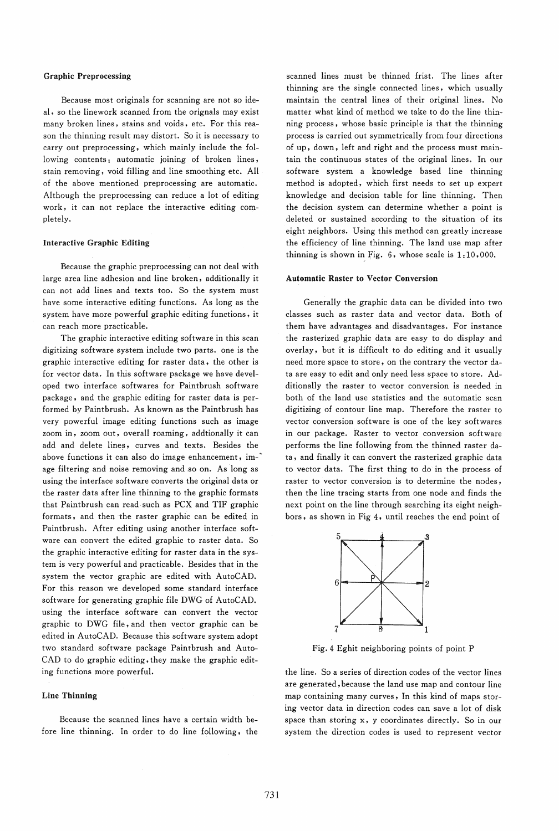### Graphic Preprocessing

Because most originals for scanning are not so ideai, so the linework scanned from the orignals may exist many broken lines, stains and voids, etc. For this reason the thinning result may distort. So it is necessary to carry out preprocessing, which mainly include the following contents: automatic joining of broken lines, stain removing, void filling and line smoothing etc. All of the above mentioned preprocessing are automatic. Although the preprocessing can reduce a lot of editing work, it can not replace the interactive editing completely.

## Interactive Graphic Editing

Because the graphic preprocessing can not deal with large area line adhesion and line broken, additionally it can not add lines and texts too. So the system must have some interactive editing functions. As long as the system have more powerful graphic editing functions, it can reach more practicable.

The graphic interactive editing software in this scan digitizing software system include two parts. one is the graphic interactive editing for raster data, the other is for vector data. In this software package we have developed two interface softwares for Paintbrush software package, and the graphic editing for raster data is performed by Paintbrush. As known as the Paintbrush has very powerful image editing functions such as image zoom in, zoom out, overall roaming, addtionally it can add and delete lines, curves and texts. Besides the above functions it can also do image enhancement, image filtering and noise removing and so on. As long as using the interface software converts the original data or the raster data after line thinning to the graphic formats that Paintbrush can read such as PCX and TIF graphic formats, and then the raster graphic can be edited in Paintbrush. After editing using another interface software can convert the edited graphic to raster data. So the graphic interactive editing for raster data in the system is very powerful and practicable. Besides that in the system the vector graphic are edited with AutoCAD. For this reason we developed some standard interface software for generating graphic file DWG of AutoCAD. using the interface software can convert the vector graphic to DWG file, and then vector graphic can be edited in AutoCAD. Because this software system adopt two standard software package Paintbrush and Auto-CAD to do graphic editing, they make the graphic editing functions more powerful.

# Line Thinning

Because the scanned lines have a certain width before line thinning. In order to do line following, the

scanned lines must be thinned frist. The lines after thinning are the single connected lines, which usually maintain the central lines of their original lines. No matter what kind of method we take to do the line thinning process, whose basic principle is that the thinning process is carried out symmetrically from four directions of up, down, left and right and the process must maintain the continuous states of the original lines. In our software system a knowledge based line thinning method is adopted, which first needs to set up expert knowledge and decision table for line thinning. Then the decision system can determine whether a point is deleted or sustained according to the situation of its eight neighbors. Using this method can greatly increase the efficiency of line thinning. The land use map after thinning is shown in Fig. 6, whose scale is 1:10,000.

#### Automatic Raster to Vector Conversion

Generally the graphic data can be divided into two classes such as raster data and vector data. Both of them have advantages and disadvantages. For instance the rasterized graphic data are easy to do display and overlay, but it is difficult to do editing and it usually need more space to store, on the contrary the vector data are easy to edit and only need less space to store. Additionally the raster to vector conversion is needed in both of the land use statistics and the automatic scan digitizing of contour line map. Therefore the raster to vector conversion software is one of the key softwares in our package. Raster to vector conversion software performs the line following from the thinned raster data, and finally it can convert the rasterized graphic data to vector data. The first thing to do in the process of raster to vector conversion is to determine the nodes, then the line tracing starts from one node and finds the next point on the line through searching its eight neighbors, as shown in Fig 4, until reaches the end point of



Fig. 4 Eghit neighboring points of point P

the line. So a series of direction codes of the vector lines are generated, because the land use map and contour line map containing many curves, In this kind of maps storing vector data in direction codes can save a lot of disk space than storing x, y coordinates directly. So in our system the direction codes is used to represent vector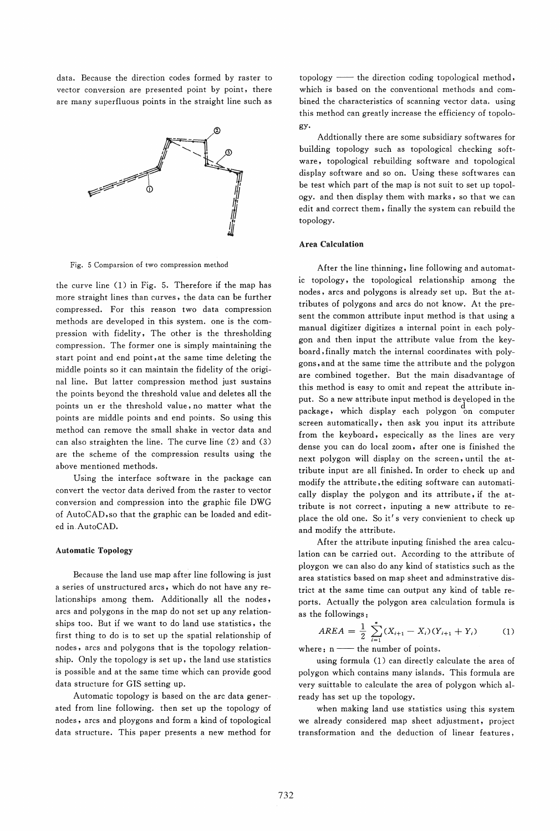data. Because the direction codes formed by raster to vector conversion are presented point by point, there are many superfluous points in the straight line such as



Fig. 5 Comparsion of two compression method

the curve line (1) in Fig. 5. Therefore if the map has more straight lines than curves, the data can be further compressed. For this reason two data compression methods are developed in this system. one is the compression with fidelity, The other is the thresholding compression. The former one is simply maintaining the start point and end point, at the same time deleting the middle points so it can maintain the fidelity of the original line. But latter compression method just sustains the points beyond the threshold value and deletes all the points un er the threshold value, no matter what the points are middle points and end points. So using this method can remove the small shake in vector data and can also straighten the line. The curve line (2) and (3) are the scheme of the compression results using the above mentioned methods.

Using the interface software in the package can convert the vector data derived from the raster to vector conversion and compression into the graphic file DWG of AutoCAD,so that the graphic can be loaded and edited in.AutoCAD.

## Automatic Topology

Because the land use map after line following is just a series of unstructured arcs, which do not have any relationships among them. Additionally all the nodes, arcs and polygons in the map do not set up any relationships too. But if we want to do land use statistics, the first thing to do is to set up the spatial relationship of nodes, arcs and polygons that is the topology relationship. Only the topology is set up, the land use statistics is possible and at the same time which can provide good data structure for GIS setting up.

Automatic topology is based on the arc data generated from line following. then set up the topology of nodes, arcs and ploygons and form a kind of topological data structure. This paper presents a new method for topology -- the direction coding topological method, which is based on the conventional methods and combined the characteristics of scanning vector data. using this method can greatly increase the efficiency of topology.

Addtionally there are some subsidiary softwares for building topology such as topological checking software, topological rebuilding software and topological display software and so on. Using these softwares can be test which part of the map is not suit to set up topology. and then display them with marks, so that we can edit and correct them, finally the system can rebuild the topology.

# Area Calculation

After the line thinning, line following and automatic topology, the topological relationship among the nodes, arcs and polygons is already set up. But the attributes of polygons and arcs do not know. At the present the common attribute input method is that using a manual digitizer digitizes a internal point in each polygon and then input the attribute value from the keyboard, finally match the internal coordinates with polygons, and at the same time the attribute and the polygon are combined together. But the main disadvantage of this method is easy to omit and repeat the attribute input. So a new attribute input method is developed in the package, which display each polygon on computer screen automatically, then ask you input its attribute from the keyboard, especically as the lines are very dense you can do local zoom, after one is finished the next polygon will display on the screen, until the attribute input are all finished. In order to check up and modify the attribute, the editing software can automatically display the polygon and its attribute, if the attribute is not correct, inputing a new attribute to replace the old one. So it's very convienient to check up and modify the attribute.

After the attribute inputing finished the area calculation can be carried out. According to the attribute of ploygon we can also do any kind of statistics such as the area statistics based on map sheet and adminstrative district at the same time can output any kind of table reports. Actually the polygon area calculation formula is as the followings:

$$
AREA = \frac{1}{2} \sum_{i=1}^{n} (X_{i+1} - X_i)(Y_{i+1} + Y_i)
$$
 (1)

where:  $n \longrightarrow$  the number of points.

using formula (1) can directly calculate the area of polygon which contains many islands. This formula are very suittable to calculate the area of polygon which already has set up the topology.

when making land use statistics using this system we already considered map sheet adjustment, project transformation and the deduction of linear features,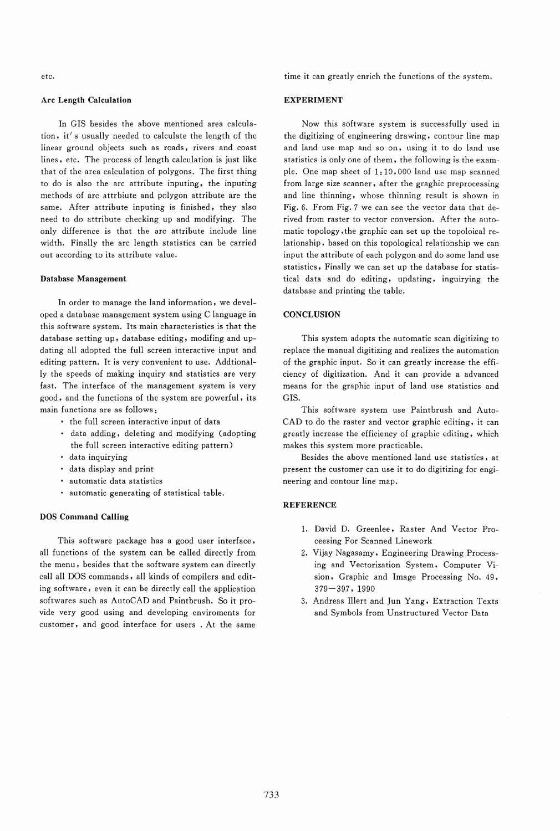etc.

# Arc Length Calculation

In GIS besides the above mentioned area calculation, it's usually needed to calculate the length of the linear ground objects such as roads, rivers and coast lines, etc. The process of length calculation is just like that of the area calculation of polygons. The first thing to do is also the arc attribute inputing, the inputing methods of arc attrbiute and polygon attribute are the same. After attribute inputing is finished, they also need to do attribute checking up and modifying. The only difference is that the arc attribute include line width. Finally the arc length statistics can be carried out according to its attribute value.

### Database Management

In order to manage the land information, we developed a database management system using C language in this software system. Its main characteristics is that the database setting up, database editing, modifing and updating all adopted the full screen interactive input and editing pattern. It is very convenient to use. Addtionally the speeds of making inquiry and statistics are very fast. The interface of the management system is very good, and the functions of the system are powerful, its main functions are as follows:

- the full screen interactive input of data
- data adding, deleting and modifying (adopting the full screen interactive editing pattern)
- data inquirying
- data display and print
- automatic data statistics
- automatic generating of statistical table.

## DOS Command Calling

This software package has a good user interface, all functions of the system can be called directly from the menu, besides that the software system can directly call all DOS commands, all kinds of compilers and editing software, even it can be directly call the application softwares such as AutoCAD and Paintbrush. So it provide very good using and developing enviroments for customer, and good interface for users . At the same time it can greatly enrich the functions of the system.

## EXPERIMENT

Now this software system is successfully used in the digitizing of engineering drawing, contour line map and land use map and so on, using it to do land use statistics is only one of them, the following is the example. One map sheet of 1: 10,000 land use map scanned from large size scanner, after the graghic preprocessing and line thinning, whose thinning result is shown in Fig. 6. From Fig. 7 we can see the vector data that derived from raster to vector conversion. After the automatic topology, the graphic can set up the topoloical relationship, based on this topological relationship we can input the attribute of each polygon and do some land use statistics, Finally we can set up the database for statistical data and do editing, updating, inguirying the database and printing the table.

# **CONCLUSION**

This system adopts the automatic scan digitizing to replace the manual digitizing and realizes the automation of the graphic input. So it can greatly increase the efficiency of digitization. And it can provide a advanced means for the graphic input of land use statistics and GIS.

This software system use Paintbrush and Auto-CAD to do the raster and vector graphic editing, it can greatly increase the efficiency of graphic editing, which makes this system more practicable.

Besides the above mentioned land use statistics, at present the customer can use it to do digitizing for engineering and contour line map.

# **REFERENCE**

- 1. David D. Greenlee, Raster And Vector Proceesing For Scanned Linework
- 2. Vijay Nagasamy, Engineering Drawing Processing and Vectorization System, Computer Vision, Graphic and Image Processing No. 49, 379-397, 1990
- 3. Andreas Illert and lun Yang, Extraction Texts and Symbols from Unstructured Vector Data